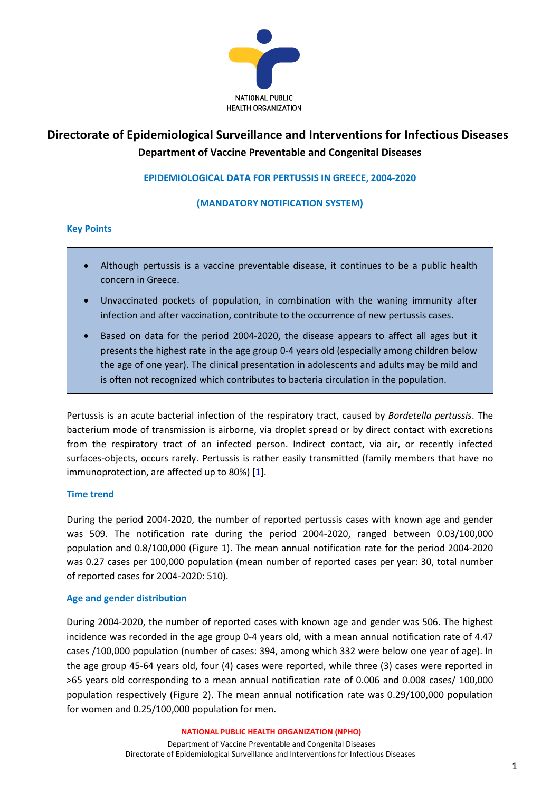

# **Directorate of Epidemiological Surveillance and Interventions for Infectious Diseases Department of Vaccine Preventable and Congenital Diseases**

## **EPIDEMIOLOGICAL DATA FOR PERTUSSIS IN GREECE, 2004-2020**

### **(MANDATORY NOTIFICATION SYSTEM)**

#### **Key Points**

- Although pertussis is a vaccine preventable disease, it continues to be a public health concern in Greece.
- Unvaccinated pockets of population, in combination with the waning immunity after infection and after vaccination, contribute to the occurrence of new pertussis cases.
- Based on data for the period 2004-2020, the disease appears to affect all ages but it presents the highest rate in the age group 0-4 years old (especially among children below the age of one year). The clinical presentation in adolescents and adults may be mild and is often not recognized which contributes to bacteria circulation in the population.

Pertussis is an acute bacterial infection of the respiratory tract, caused by *Bordetella pertussis*. The bacterium mode of transmission is airborne, via droplet spread or by direct contact with excretions from the respiratory tract of an infected person. Indirect contact, via air, or recently infected surfaces-objects, occurs rarely. Pertussis is rather easily transmitted (family members that have no immunoprotection, are affected up to 80%) [1].

### **Time trend**

During the period 2004-2020, the number of reported pertussis cases with known age and gender was 509. The notification rate during the period 2004-2020, ranged between 0.03/100,000 population and 0.8/100,000 (Figure 1). The mean annual notification rate for the period 2004-2020 was 0.27 cases per 100,000 population (mean number of reported cases per year: 30, total number of reported cases for 2004-2020: 510).

#### **Age and gender distribution**

During 2004-2020, the number of reported cases with known age and gender was 506. The highest incidence was recorded in the age group 0-4 years old, with a mean annual notification rate of 4.47 cases /100,000 population (number of cases: 394, among which 332 were below one year of age). In the age group 45-64 years old, four (4) cases were reported, while three (3) cases were reported in >65 years old corresponding to a mean annual notification rate of 0.006 and 0.008 cases/ 100,000 population respectively (Figure 2). The mean annual notification rate was 0.29/100,000 population for women and 0.25/100,000 population for men.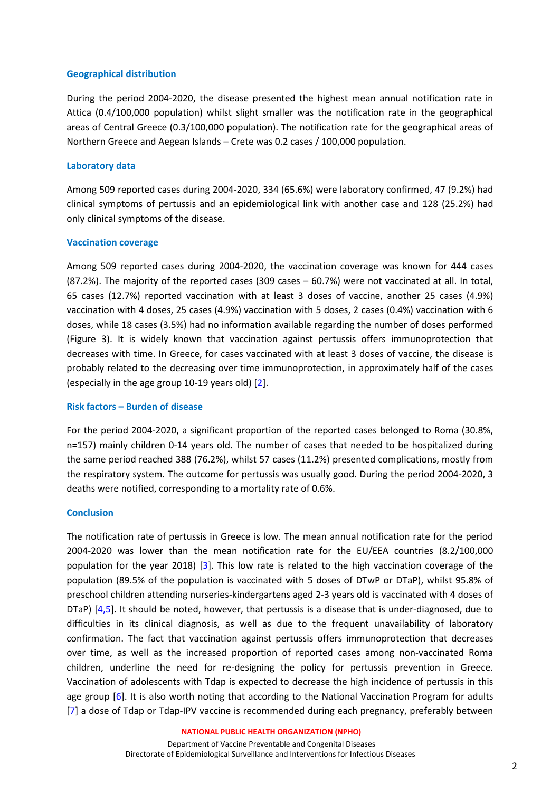#### **Geographical distribution**

During the period 2004-2020, the disease presented the highest mean annual notification rate in Attica (0.4/100,000 population) whilst slight smaller was the notification rate in the geographical areas of Central Greece (0.3/100,000 population). The notification rate for the geographical areas of Northern Greece and Aegean Islands – Crete was 0.2 cases / 100,000 population.

#### **Laboratory data**

Among 509 reported cases during 2004-2020, 334 (65.6%) were laboratory confirmed, 47 (9.2%) had clinical symptoms of pertussis and an epidemiological link with another case and 128 (25.2%) had only clinical symptoms of the disease.

#### **Vaccination coverage**

Among 509 reported cases during 2004-2020, the vaccination coverage was known for 444 cases (87.2%). The majority of the reported cases (309 cases – 60.7%) were not vaccinated at all. In total, 65 cases (12.7%) reported vaccination with at least 3 doses of vaccine, another 25 cases (4.9%) vaccination with 4 doses, 25 cases (4.9%) vaccination with 5 doses, 2 cases (0.4%) vaccination with 6 doses, while 18 cases (3.5%) had no information available regarding the number of doses performed (Figure 3). It is widely known that vaccination against pertussis offers immunoprotection that decreases with time. In Greece, for cases vaccinated with at least 3 doses of vaccine, the disease is probably related to the decreasing over time immunoprotection, in approximately half of the cases (especially in the age group 10-19 years old) [2].

#### **Risk factors – Burden of disease**

For the period 2004-2020, a significant proportion of the reported cases belonged to Roma (30.8%, n=157) mainly children 0-14 years old. The number of cases that needed to be hospitalized during the same period reached 388 (76.2%), whilst 57 cases (11.2%) presented complications, mostly from the respiratory system. The outcome for pertussis was usually good. During the period 2004-2020, 3 deaths were notified, corresponding to a mortality rate of 0.6%.

### **Conclusion**

The notification rate of pertussis in Greece is low. The mean annual notification rate for the period 2004-2020 was lower than the mean notification rate for the EU/EEA countries (8.2/100,000 population for the year 2018) [3]. This low rate is related to the high vaccination coverage of the population (89.5% of the population is vaccinated with 5 doses of DTwP or DTaP), whilst 95.8% of preschool children attending nurseries-kindergartens aged 2-3 years old is vaccinated with 4 doses of DTaP) [4,5]. It should be noted, however, that pertussis is a disease that is under-diagnosed, due to difficulties in its clinical diagnosis, as well as due to the frequent unavailability of laboratory confirmation. The fact that vaccination against pertussis offers immunoprotection that decreases over time, as well as the increased proportion of reported cases among non-vaccinated Roma children, underline the need for re-designing the policy for pertussis prevention in Greece. Vaccination of adolescents with Tdap is expected to decrease the high incidence of pertussis in this age group [6]. It is also worth noting that according to the National Vaccination Program for adults [7] a dose of Tdap or Tdap-IPV vaccine is recommended during each pregnancy, preferably between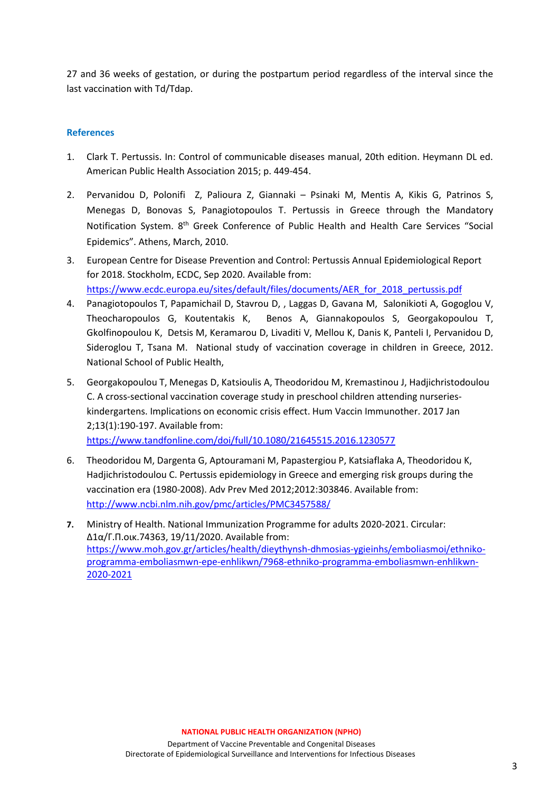27 and 36 weeks of gestation, or during the postpartum period regardless of the interval since the last vaccination with Td/Tdap.

## **References**

- 1. Clark T. Pertussis. In: Control of communicable diseases manual, 20th edition. Heymann DL ed. American Public Health Association 2015; p. 449-454.
- 2. Pervanidou D, Polonifi Ζ, Palioura Ζ, Giannaki Psinaki M, Μentis Α, Κikis G, Patrinos S, Μenegas D, Bonovas S, Panagiotopoulos Τ. Pertussis in Greece through the Mandatory Notification System. 8th Greek Conference of Public Health and Health Care Services "Social Epidemics". Athens, March, 2010.
- 3. European Centre for Disease Prevention and Control: Pertussis Annual Epidemiological Report for 2018. Stockholm, ECDC, Sep 2020. Available from: [https://www.ecdc.europa.eu/sites/default/files/documents/AER\\_for\\_2018\\_pertussis.pdf](https://www.ecdc.europa.eu/sites/default/files/documents/AER_for_2018_pertussis.pdf)
- 4. Panagiotopoulos Τ, Papamichail D, Stavrou D, , Laggas D, Gavana Μ, Salonikioti A, Gogoglou V, Theocharopoulos G, Koutentakis K, Benos A, Giannakopoulos S, Georgakopoulou T, Gkolfinopoulou K, Detsis M, Keramarou D, Livaditi V, Mellou K, Danis Κ, Panteli I, Pervanidou D, Sideroglou T, Tsana M. National study of vaccination coverage in children in Greece, 2012. National School of Public Health,
- 5. Georgakopoulou T, Menegas D, Katsioulis A, Theodoridou M, Kremastinou J, Hadjichristodoulou C. A cross-sectional vaccination coverage study in preschool children attending nurserieskindergartens. Implications on economic crisis effect. Hum Vaccin Immunother. 2017 Jan 2;13(1):190-197. Available from:

<https://www.tandfonline.com/doi/full/10.1080/21645515.2016.1230577>

- 6. Theodoridou M, Dargenta G, Aptouramani M, Papastergiou P, Katsiaflaka A, Theodoridou K, Hadjichristodoulou C. Pertussis epidemiology in Greece and emerging risk groups during the vaccination era (1980-2008). Adv Prev Med 2012;2012:303846. Available from: <http://www.ncbi.nlm.nih.gov/pmc/articles/PMC3457588/>
- **7.** Ministry of Health. National Immunization Programme for adults 2020-2021. Circular: Δ1α/Γ.Π.οικ.74363, 19/11/2020. Available from: [https://www.moh.gov.gr/articles/health/dieythynsh-dhmosias-ygieinhs/emboliasmoi/ethniko](https://www.moh.gov.gr/articles/health/dieythynsh-dhmosias-ygieinhs/emboliasmoi/ethniko-programma-emboliasmwn-epe-enhlikwn/7968-ethniko-programma-emboliasmwn-enhlikwn-2020-2021)[programma-emboliasmwn-epe-enhlikwn/7968-ethniko-programma-emboliasmwn-enhlikwn-](https://www.moh.gov.gr/articles/health/dieythynsh-dhmosias-ygieinhs/emboliasmoi/ethniko-programma-emboliasmwn-epe-enhlikwn/7968-ethniko-programma-emboliasmwn-enhlikwn-2020-2021)[2020-2021](https://www.moh.gov.gr/articles/health/dieythynsh-dhmosias-ygieinhs/emboliasmoi/ethniko-programma-emboliasmwn-epe-enhlikwn/7968-ethniko-programma-emboliasmwn-enhlikwn-2020-2021)

Department of Vaccine Preventable and Congenital Diseases Directorate of Epidemiological Surveillance and Interventions for Infectious Diseases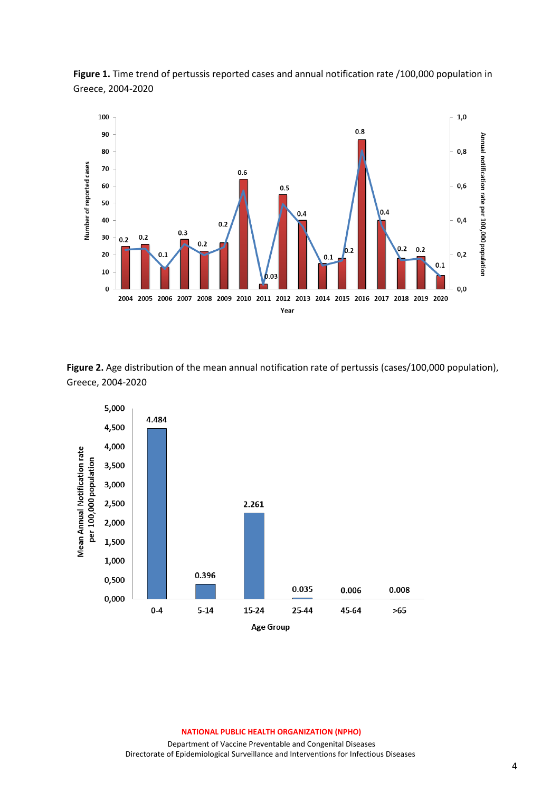

**Figure 1.** Time trend of pertussis reported cases and annual notification rate /100,000 population in Greece, 2004-2020

**Figure 2.** Age distribution of the mean annual notification rate of pertussis (cases/100,000 population), Greece, 2004-2020



#### **NATIONAL PUBLIC HEALTH ORGANIZATION (NPHO)**

Department of Vaccine Preventable and Congenital Diseases Directorate of Epidemiological Surveillance and Interventions for Infectious Diseases